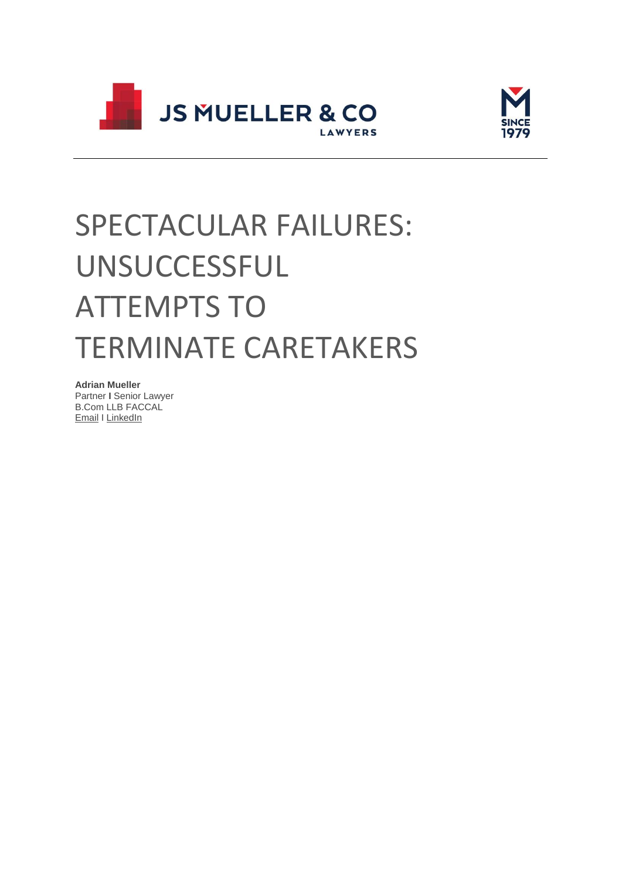



# SPECTACULAR FAILURES: UNSUCCESSFUL ATTEMPTS TO TERMINATE CARETAKERS

**Adrian Mueller**  Partner **I** Senior Lawyer B.Com LLB FACCAL [Email](mailto:adrianmueller@muellers.com.au) I [LinkedIn](https://www.linkedin.com/in/adriansmueller)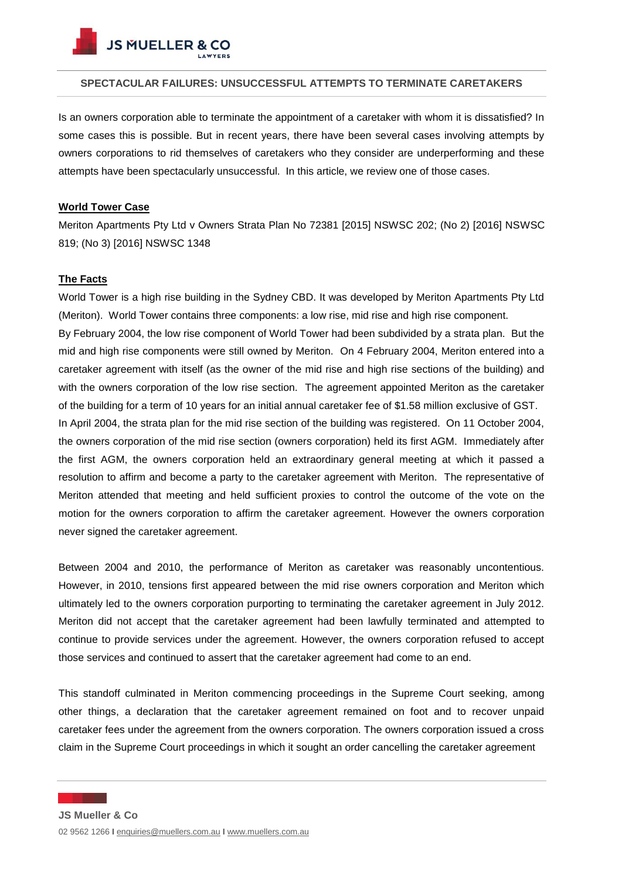**JS MUELLER & CO** 

#### **SPECTACULAR FAILURES: UNSUCCESSFUL ATTEMPTS TO TERMINATE CARETAKERS**

Is an owners corporation able to terminate the appointment of a caretaker with whom it is dissatisfied? In some cases this is possible. But in recent years, there have been several cases involving attempts by owners corporations to rid themselves of caretakers who they consider are underperforming and these attempts have been spectacularly unsuccessful. In this article, we review one of those cases.

#### **World Tower Case**

Meriton Apartments Pty Ltd v Owners Strata Plan No 72381 [2015] NSWSC 202; (No 2) [2016] NSWSC 819; (No 3) [2016] NSWSC 1348

# **The Facts**

World Tower is a high rise building in the Sydney CBD. It was developed by Meriton Apartments Pty Ltd (Meriton). World Tower contains three components: a low rise, mid rise and high rise component. By February 2004, the low rise component of World Tower had been subdivided by a strata plan. But the mid and high rise components were still owned by Meriton. On 4 February 2004, Meriton entered into a caretaker agreement with itself (as the owner of the mid rise and high rise sections of the building) and with the owners corporation of the low rise section. The agreement appointed Meriton as the caretaker of the building for a term of 10 years for an initial annual caretaker fee of \$1.58 million exclusive of GST. In April 2004, the strata plan for the mid rise section of the building was registered. On 11 October 2004, the owners corporation of the mid rise section (owners corporation) held its first AGM. Immediately after the first AGM, the owners corporation held an extraordinary general meeting at which it passed a resolution to affirm and become a party to the caretaker agreement with Meriton. The representative of Meriton attended that meeting and held sufficient proxies to control the outcome of the vote on the motion for the owners corporation to affirm the caretaker agreement. However the owners corporation never signed the caretaker agreement.

Between 2004 and 2010, the performance of Meriton as caretaker was reasonably uncontentious. However, in 2010, tensions first appeared between the mid rise owners corporation and Meriton which ultimately led to the owners corporation purporting to terminating the caretaker agreement in July 2012. Meriton did not accept that the caretaker agreement had been lawfully terminated and attempted to continue to provide services under the agreement. However, the owners corporation refused to accept those services and continued to assert that the caretaker agreement had come to an end.

This standoff culminated in Meriton commencing proceedings in the Supreme Court seeking, among other things, a declaration that the caretaker agreement remained on foot and to recover unpaid caretaker fees under the agreement from the owners corporation. The owners corporation issued a cross claim in the Supreme Court proceedings in which it sought an order cancelling the caretaker agreement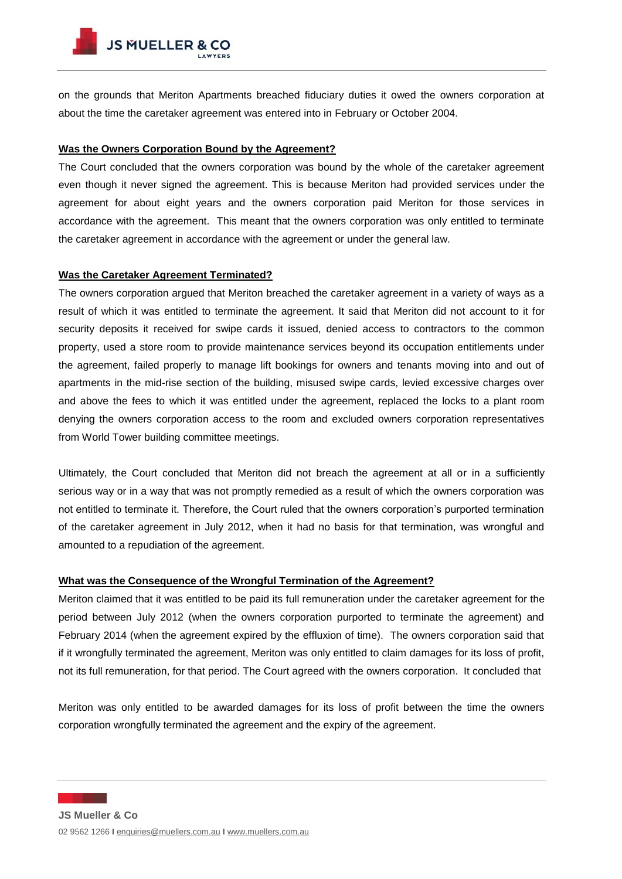

**JS MUELLER & CO** 

on the grounds that Meriton Apartments breached fiduciary duties it owed the owners corporation at about the time the caretaker agreement was entered into in February or October 2004.

# **Was the Owners Corporation Bound by the Agreement?**

The Court concluded that the owners corporation was bound by the whole of the caretaker agreement even though it never signed the agreement. This is because Meriton had provided services under the agreement for about eight years and the owners corporation paid Meriton for those services in accordance with the agreement. This meant that the owners corporation was only entitled to terminate the caretaker agreement in accordance with the agreement or under the general law.

# **Was the Caretaker Agreement Terminated?**

The owners corporation argued that Meriton breached the caretaker agreement in a variety of ways as a result of which it was entitled to terminate the agreement. It said that Meriton did not account to it for security deposits it received for swipe cards it issued, denied access to contractors to the common property, used a store room to provide maintenance services beyond its occupation entitlements under the agreement, failed properly to manage lift bookings for owners and tenants moving into and out of apartments in the mid-rise section of the building, misused swipe cards, levied excessive charges over and above the fees to which it was entitled under the agreement, replaced the locks to a plant room denying the owners corporation access to the room and excluded owners corporation representatives from World Tower building committee meetings.

Ultimately, the Court concluded that Meriton did not breach the agreement at all or in a sufficiently serious way or in a way that was not promptly remedied as a result of which the owners corporation was not entitled to terminate it. Therefore, the Court ruled that the owners corporation's purported termination of the caretaker agreement in July 2012, when it had no basis for that termination, was wrongful and amounted to a repudiation of the agreement.

### **What was the Consequence of the Wrongful Termination of the Agreement?**

Meriton claimed that it was entitled to be paid its full remuneration under the caretaker agreement for the period between July 2012 (when the owners corporation purported to terminate the agreement) and February 2014 (when the agreement expired by the effluxion of time). The owners corporation said that if it wrongfully terminated the agreement, Meriton was only entitled to claim damages for its loss of profit, not its full remuneration, for that period. The Court agreed with the owners corporation. It concluded that

Meriton was only entitled to be awarded damages for its loss of profit between the time the owners corporation wrongfully terminated the agreement and the expiry of the agreement.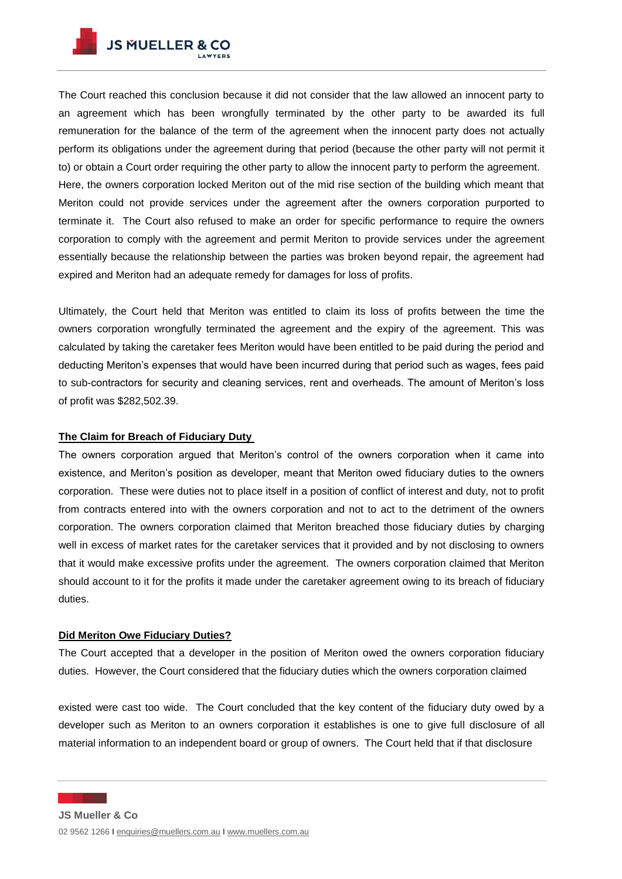

**JS MUELLER & CO** 

The Court reached this conclusion because it did not consider that the law allowed an innocent party to an agreement which has been wrongfully terminated by the other party to be awarded its full remuneration for the balance of the term of the agreement when the innocent party does not actually perform its obligations under the agreement during that period (because the other party will not permit it to) or obtain a Court order requiring the other party to allow the innocent party to perform the agreement. Here, the owners corporation locked Meriton out of the mid rise section of the building which meant that Meriton could not provide services under the agreement after the owners corporation purported to terminate it. The Court also refused to make an order for specific performance to require the owners corporation to comply with the agreement and permit Meriton to provide services under the agreement essentially because the relationship between the parties was broken beyond repair, the agreement had expired and Meriton had an adequate remedy for damages for loss of profits.

Ultimately, the Court held that Meriton was entitled to claim its loss of profits between the time the owners corporation wrongfully terminated the agreement and the expiry of the agreement. This was calculated by taking the caretaker fees Meriton would have been entitled to be paid during the period and deducting Meriton's expenses that would have been incurred during that period such as wages, fees paid to sub-contractors for security and cleaning services, rent and overheads. The amount of Meriton's loss of profit was \$282,502.39.

#### **The Claim for Breach of Fiduciary Duty**

The owners corporation argued that Meriton's control of the owners corporation when it came into existence, and Meriton's position as developer, meant that Meriton owed fiduciary duties to the owners corporation. These were duties not to place itself in a position of conflict of interest and duty, not to profit from contracts entered into with the owners corporation and not to act to the detriment of the owners corporation. The owners corporation claimed that Meriton breached those fiduciary duties by charging well in excess of market rates for the caretaker services that it provided and by not disclosing to owners that it would make excessive profits under the agreement. The owners corporation claimed that Meriton should account to it for the profits it made under the caretaker agreement owing to its breach of fiduciary duties.

#### **Did Meriton Owe Fiduciary Duties?**

The Court accepted that a developer in the position of Meriton owed the owners corporation fiduciary duties. However, the Court considered that the fiduciary duties which the owners corporation claimed

existed were cast too wide. The Court concluded that the key content of the fiduciary duty owed by a developer such as Meriton to an owners corporation it establishes is one to give full disclosure of all material information to an independent board or group of owners. The Court held that if that disclosure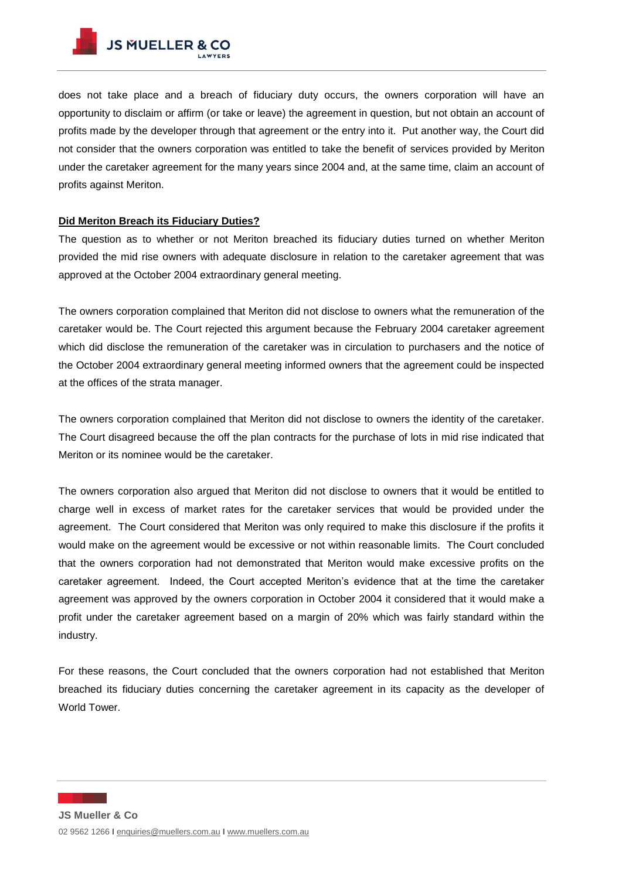

does not take place and a breach of fiduciary duty occurs, the owners corporation will have an opportunity to disclaim or affirm (or take or leave) the agreement in question, but not obtain an account of profits made by the developer through that agreement or the entry into it. Put another way, the Court did not consider that the owners corporation was entitled to take the benefit of services provided by Meriton under the caretaker agreement for the many years since 2004 and, at the same time, claim an account of profits against Meriton.

#### **Did Meriton Breach its Fiduciary Duties?**

The question as to whether or not Meriton breached its fiduciary duties turned on whether Meriton provided the mid rise owners with adequate disclosure in relation to the caretaker agreement that was approved at the October 2004 extraordinary general meeting.

The owners corporation complained that Meriton did not disclose to owners what the remuneration of the caretaker would be. The Court rejected this argument because the February 2004 caretaker agreement which did disclose the remuneration of the caretaker was in circulation to purchasers and the notice of the October 2004 extraordinary general meeting informed owners that the agreement could be inspected at the offices of the strata manager.

The owners corporation complained that Meriton did not disclose to owners the identity of the caretaker. The Court disagreed because the off the plan contracts for the purchase of lots in mid rise indicated that Meriton or its nominee would be the caretaker.

The owners corporation also argued that Meriton did not disclose to owners that it would be entitled to charge well in excess of market rates for the caretaker services that would be provided under the agreement. The Court considered that Meriton was only required to make this disclosure if the profits it would make on the agreement would be excessive or not within reasonable limits. The Court concluded that the owners corporation had not demonstrated that Meriton would make excessive profits on the caretaker agreement. Indeed, the Court accepted Meriton's evidence that at the time the caretaker agreement was approved by the owners corporation in October 2004 it considered that it would make a profit under the caretaker agreement based on a margin of 20% which was fairly standard within the industry.

For these reasons, the Court concluded that the owners corporation had not established that Meriton breached its fiduciary duties concerning the caretaker agreement in its capacity as the developer of World Tower.